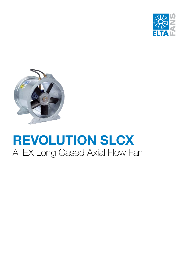



# **REVOLUTION SLCX** ATEX Long Cased Axial Flow Fan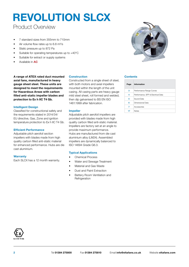### Product Overview

- 7 standard sizes from 355mm to 710mm
- Air volume flow rates up to 6.8 m<sup>3</sup>/s
- Static pressure up to 872 Pa
- Suitable for operating temperatures up to +40°C
- Suitable for extract or supply systems
- Available in **AC**

**A range of ATEX rated duct mounted Contents axial fans, manufactured in heavy gauge sheet steel. These units are designed to meet the requirements for Hazardous Areas with carbon filled anti-static impeller blades and protection to Ex h IIC T4 Gb.**

#### **Intelligent Design**

Classified for constructional safety and the requirements stated in 2014/34/ EU directive, Gas, Zone and ignition temperature protection to Ex h IIC T4 Gb.

#### **Efficient Performance**

Adjustable pitch aerofoil section impellers with blades made from high quality carbon filled anti-static material for enhanced performance. Hubs are die cast aluminium.

#### **Warranty**

Each SLCX has a 12 month warranty.

#### **Construction**

Constructed from a single sheet of steel, with both motors and axial impellers mounted within the length of the unit casing. All casing parts are heavy gauge mild steel sheet, roll formed and welded, then dip galvanised to BS EN ISO 1461:1999 after fabrication.

#### **Impeller**

Adjustable pitch aerofoil impellers are provided with blades made from high quality carbon filled anti-static material. Impellers are factory set at an angle to provide maximum performance. Hubs are manufactured from die cast aluminium alloy (LM24). Assembled impellers are dynamically balanced to ISO 14694 Grade G6.3.

#### **Typical Applications**

- Chemical Process
- Water and Sewage Treatment
- Material and Gas Waste
- Dust and Paint Extraction
- Battery Room Ventilation and **Refrigeration**



| Page | <b>Information</b>                 |
|------|------------------------------------|
| 3    | Performance Range Curves           |
| 4    | Performance, SFP & Electrical Data |
| 5    | Sound Data                         |
| 6    | Dimensional Data                   |
| 7    | Accessories                        |
|      | <b>Notes</b>                       |

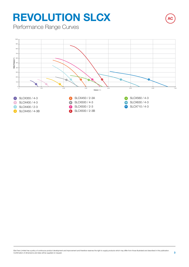Performance Range Curves

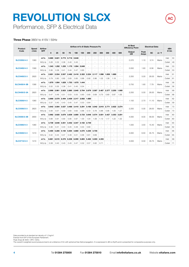Performance, SFP & Electrical Data

#### **Three Phase** 380V to 415V / 50Hz

| <b>Product</b>      | <b>Speed</b> | <b>Airflow</b> |       | Airflow m <sup>3</sup> /s @ Static Pressure Pa |       |             |             |       |                      |       |                      | <b>At Best</b><br><b>Efficiency Point</b> |        | <b>Electrical Data</b>   |              | dBA                 |           |            |        |    |
|---------------------|--------------|----------------|-------|------------------------------------------------|-------|-------------|-------------|-------|----------------------|-------|----------------------|-------------------------------------------|--------|--------------------------|--------------|---------------------|-----------|------------|--------|----|
| Code                | r/min        | <b>SFP</b>     | 0     | 25                                             | 50    | 75          | 100         | 150   | 200                  | 250   | 300                  | 350                                       | 400    | 500                      | Output<br>kW | Peak<br><b>Amps</b> | <b>SC</b> | $\Delta/Y$ | @ 3m   |    |
|                     |              | $m^3/s$        | 0.860 | 0.821                                          | 0.773 | 0.716       | 0.648       |       |                      |       | ٠                    | $\ddot{\phantom{1}}$                      | $\sim$ | $\sim$                   |              |                     |           |            | Inlet  | 50 |
| <b>SLCX355/4-3</b>  | 1360         | W/(L/s)        | 0.28  | 0.32                                           | 0.36  | 0.40        | 0.45        |       | ä,                   |       | $\ddot{\phantom{1}}$ | $\ddot{\phantom{1}}$                      | $\sim$ | $\sim$                   | 0.370        | 1.10                | 3.74      | Mains      | Outlet | 49 |
| <b>SLCX400/4-3</b>  | 1390         | $m^3/s$        | 1.343 | 1.292                                          | 1.235 | 1.170       | 1.094       | 0.849 |                      |       | ٠                    | ٠                                         | $\sim$ | $\overline{\phantom{a}}$ | 0.550        | 1.60                | 6.56      | Mains      | Inlet  | 53 |
|                     |              | W/(L/s)        | 0.36  | 0.38                                           | 0.41  | 0.44        | 0.47        | 0.60  |                      |       |                      | ÷,                                        |        | $\sim$                   |              |                     |           |            | Outlet | 53 |
| <b>SLCX400/2-3</b>  | 2820         | $m^3/s$        | 2.601 | 2.554                                          | 2.507 |             | 2.462 2.416 | 2.322 | 2.224                | 2.117 | 1.998                | 1.858                                     | 1.690  | $\sim$                   | 2.200        | 5.00                | 28.00     | Mains      | Inlet  | 61 |
|                     |              | W/(L/s)        | 0.79  | 0.80                                           | 0.82  | 0.83        | 0.85        | 0.88  | 0.92                 | 0.96  | 1.02                 | 1.08                                      | 1.18   | $\sim$                   |              |                     |           |            | Outlet | 61 |
| <b>SLCX450/4-3B</b> | 1390         | $m^3/s$        | 1.979 | 1.904                                          | 1.829 | 1.753       | 1.670       | 1.444 |                      |       |                      | $\overline{a}$                            | ÷.     | $\sim$                   | 0.750        | 1.60                | 7.79      | Mains      | Inlet  | 56 |
|                     |              | W/(L/s)        | 0.32  | 0.35                                           | 0.38  | 0.41        | 0.45        | 0.54  | $\ddot{\phantom{1}}$ |       |                      | ÷.                                        | $\sim$ | $\sim$                   |              |                     |           |            | Outlet | 56 |
| <b>SLCX450/2-3A</b> | 2820         | $m^3/s$        | 2.998 | 2.961                                          | 2.923 | 2.885       | 2.845       | 2.764 | 2.679                | 2.587 | 2.487                | 2.377                                     | 2.250  | 1.900                    | 2.200        | 5.00                | 28.00     | Mains      | Inlet  | 68 |
|                     |              | W/(L/s)        | 0.47  | 0.49                                           | 0.51  | 0.53        | 0.55        | 0.60  | 0.65                 | 0.69  | 0.75                 | 0.80                                      | 0.87   | 1.05                     |              |                     |           |            | Outlet | 68 |
| <b>SLCX500/4-3</b>  | 1380         | $m^3/s$        | 2.668 | 2.579                                          | 2.494 | 2.409       | 2.317       | 2.082 | 1.680                |       |                      | ÷.                                        |        | $\sim$                   | 1.100        | 2.70                | 11.10     | Mains      | Inlet  | 62 |
|                     |              | W/(L/s)        | 0.37  | 0.40                                           | 0.43  | 0.45        | 0.47        | 0.53  | 0.64                 |       |                      | ÷.                                        |        | $\ddot{\phantom{1}}$     |              |                     |           |            | Outlet | 59 |
| <b>SLCX500/2-3</b>  | 2820         | $m^3/s$        | 3.642 | 3.584                                          | 3.527 | 3.468       | 3.410       | 3.291 | 3.168                | 3.042 | 2.910                | 2.771                                     | 2.622  | 2.274                    | 2.200        | 5.00                | 28.00     | Mains      | Inlet  | 73 |
|                     |              | W/(L/s)        | 0.56  | 0.57                                           | 0.59  | 0.60        | 0.62        | 0.66  | 0.72                 | 0.78  | 0.86                 | 0.95                                      | 1.05   | 1.27                     |              |                     |           |            | Outlet | 73 |
| <b>SLCX500/2-3B</b> | 2900         | $m^3/s$        | 3.962 | 3.920                                          | 3.879 | 3.839       | 3.800       | 3.723 | 3.648                | 3.574 | 3.501                | 3.427                                     | 3.353  | 3.201                    | 4.000        | 8.00                | 56.00     | Mains      | Inlet  | 80 |
|                     |              | W/(L/s)        | 0.89  | 0.91                                           | 0.93  | 0.95        | 0.97        | 1.00  | 1.04                 | 1.09  | 1.13                 | 1.17                                      | 1.22   | 1.32                     |              |                     |           |            | Outlet | 80 |
| <b>SLCX560/4-3</b>  | 1380         | $m^3/s$        | 3.739 | 3.646                                          | 3.551 | 3.452 3.347 |             | 3.102 | 2.749                |       | ٠                    | $\sim$                                    | $\sim$ | $\sim$                   | 1.500        | 3.50                | 15.40     | Mains      | Inlet  | 65 |
|                     |              | W/(L/s)        | 0.38  | 0.41                                           | 0.43  | 0.45        | 0.48        | 0.53  | 0.60                 |       | ٠                    | ÷.                                        | $\sim$ | ٠                        |              |                     |           |            | Outlet | 62 |
| <b>SLCX630/4-3</b>  | 1410         | $m^3/s$        | 5.400 | 5.285                                          | 5.150 | 5.004       | 4.860       | 4.570 | 4.230                | 3.735 | ٠                    | ÷.                                        | $\sim$ | ٠                        | 3.000        | 6.50                | 35.75     | Mains      | Inlet  | 66 |
|                     |              | W/[L/s]        | 0.42  | 0.44                                           | 0.47  | 0.49        | 0.51        | 0.56  | 0.61                 | 0.69  | Ē,                   | ٠                                         |        | ٠                        |              |                     |           |            | Outlet | 65 |
| <b>SLCX710/4-3</b>  | 1410         | $m^3/s$        | 6.661 | 6.515                                          | 6.376 | 6.238       | 6.099       | 5.805 | 5.462                | 5.003 | 4.355                |                                           |        | ۰                        | 3.000        | 6.50                | 35.75     | Mains      | Inlet  | 68 |
|                     |              | W/(L/s)        | 0.38  | 0.40                                           | 0.43  | 0.45        | 0.47        | 0.52  | 0.57                 | 0.62  | 0.71                 |                                           |        |                          |              |                     |           |            | Outlet | 71 |

**AC**

Data provided is at standard air density of 1.2 kg/mª.<br>Exempt from ErP of the European Parliament.<br>Peak Amps @ 400V / 3PH / 50Hz.<br>The overall A-weighted sound pressure level is at a distance of 3m with spherical free-field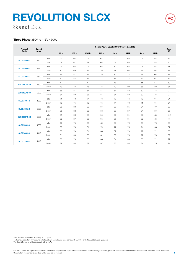## Sound Data **REVOLUTION SLCX**

## **AC**

#### **Three Phase** 380V to 415V / 50Hz

| Product             | Speed |        |      |          |       |       | Sound Power Level dBW @ Octave Band Hz |      |      |      | <b>Total</b> |
|---------------------|-------|--------|------|----------|-------|-------|----------------------------------------|------|------|------|--------------|
| Code                | r/min |        | 63Hz | $125$ Hz | 250Hz | 500Hz | 1kHz                                   | 2kHz | 4kHz | 8kHz | dB           |
| <b>SLCX355/4-3</b>  | 1360  | Inlet  | 64   | 68       | 69    | 62    | 66                                     | 65   | 59   | 48   | 74           |
|                     |       | Outlet | 67   | 67       | 72    | 64    | 64                                     | 63   | 60   | 53   | 75           |
| <b>SLCX400/4-3</b>  | 1390  | Inlet  | 69   | 68       | 69    | 68    | 70                                     | 68   | 62   | 54   | 77           |
|                     |       | Outlet | 70   | 69       | 73    | 70    | 67                                     | 66   | 63   | 56   | 78           |
| <b>SLCX400/2-3</b>  | 2820  | Inlet  | 83   | 81       | 82    | 79    | 76                                     | 73   | 71   | 66   | 88           |
|                     |       | Outlet | 80   | 85       | 83    | 77    | 75                                     | 73   | 69   | 64   | 89           |
| <b>SLCX450/4-3B</b> |       | Inlet  | 72   | 71       | 72    | 71    | 73                                     | 71   | 65   | 57   | 80           |
|                     | 1390  | Outlet | 73   | 72       | 76    | 73    | 70                                     | 69   | 66   | 59   | 81           |
|                     | 2820  | Inlet  | 88   | 81       | 84    | 81    | 84                                     | 82   | 80   | 72   | 92           |
| <b>SLCX450/2-3A</b> |       | Outlet | 84   | 82       | 86    | 81    | 84                                     | 82   | 80   | 76   | 92           |
|                     |       | Inlet  | 71   | 73       | 74    | 76    | 79                                     | 76   | 75   | 64   | 84           |
| <b>SLCX500/4-3</b>  | 1380  | Outlet | 78   | 75       | 78    | 75    | 74                                     | 73   | 71   | 64   | 84           |
|                     |       | Inlet  | 95   | 83       | 88    | 87    | 90                                     | 85   | 84   | 79   | 98           |
| <b>SLCX500/2-3</b>  | 2820  | Outlet | 85   | 82       | 89    | 86    | 89                                     | 87   | 84   | 80   | 95           |
|                     |       | Inlet  | 91   | 86       | 88    | 95    | 97                                     | 94   | 92   | 88   | 102          |
| <b>SLCX500/2-3B</b> | 2900  | Outlet | 92   | 87       | 89    | 95    | 95                                     | 94   | 92   | 88   | 101          |
|                     |       | Inlet  | 77   | 75       | 80    | 80    | 82                                     | 79   | 78   | 70   | 88           |
| <b>SLCX560/4-3</b>  | 1380  | Outlet | 80   | 78       | 81    | 79    | 77                                     | 76   | 74   | 68   | 87           |
|                     |       | Inlet  | 80   | 73       | 81    | 80    | 82                                     | 78   | 79   | 72   | 88           |
| <b>SLCX630/4-3</b>  | 1410  | Outlet | 81   | 80       | 83    | 81    | 80                                     | 78   | 77   | 70   | 89           |
| <b>SLCX710/4-3</b>  |       | Inlet  | 83   | 79       | 85    | 86    | 84                                     | 80   | 80   | 72   | 92           |
|                     | 1410  | Outlet | 87   | 84       | 87    | 87    | 86                                     | 84   | 84   | 75   | 94           |

Data provided at standard air density of 1.2 kg/m<sup>3</sup>. Tests and preparation of the sound data have been carried out in accordance with BS 848 Part 2:1985 at 50% peak pressure. The Sound Power Level Spectra are in dB re-1pW.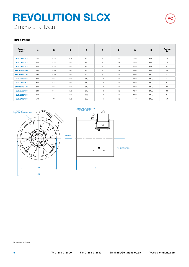Dimensional Data

#### **Three Phase**

| Product<br>Code     | A   | B   | C   | D   | E. | F  | G   | Κ   | Weight<br>kg |
|---------------------|-----|-----|-----|-----|----|----|-----|-----|--------------|
| <b>SLCX355/4-3</b>  | 355 | 425 | 375 | 255 | 8  | 10 | 395 | M20 | 29           |
| <b>SLCX400/4-3</b>  | 400 | 475 | 400 | 270 | 8  | 12 | 450 | M20 | 35           |
| <b>SLCX400/2-3</b>  | 400 | 475 | 400 | 270 | 8  | 12 | 450 | M20 | 43           |
| <b>SLCX450/4-3B</b> | 450 | 530 | 450 | 290 | 8  | 12 | 500 | M20 | 40           |
| <b>SLCX450/2-3A</b> | 450 | 530 | 450 | 290 | 8  | 12 | 500 | M20 | 47           |
| <b>SLCX500/4-3</b>  | 500 | 585 | 450 | 310 | 12 | 12 | 560 | M20 | 47           |
| <b>SLCX500/2-3</b>  | 500 | 585 | 450 | 310 | 12 | 12 | 560 | M20 | 51           |
| <b>SLCX500/2-3B</b> | 500 | 585 | 450 | 310 | 12 | 12 | 560 | M20 | 68           |
| <b>SLCX560/4-3</b>  | 560 | 645 | 450 | 340 | 12 | 12 | 620 | M20 | 63           |
| <b>SLCX630/4-3</b>  | 630 | 715 | 450 | 355 | 12 | 12 | 690 | M20 | 64           |
| <b>SLCX710/4-3</b>  | 710 | 795 | 450 | 385 | 16 | 12 | 770 | M20 | 70           |



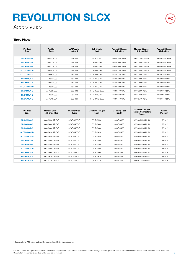Accessories

#### **Three Phase**

| Product<br>Code     | Ancillary<br>Pack* | <b>AV Mounts</b><br>(set of 4) | <b>Bell Mouth</b><br>Inlet | <b>Flanged Silencer</b><br>1D Podded | <b>Flanged Silencer</b><br>1D Unpodded | <b>Flanged Silencer</b><br>2D Podded |
|---------------------|--------------------|--------------------------------|----------------------------|--------------------------------------|----------------------------------------|--------------------------------------|
| <b>SLCX355/4-3</b>  | APK350/002         | 062-002                        | 241B-0355                  | 068-0350-1DEP                        | 068-0350-1DENP                         | 068-0350-2DEP                        |
| <b>SLCX400/4-3</b>  | APK400/003         | 062-003                        | 241B-0400-BFLL             | 068-0400-1DEP                        | 068-0400-1DENP                         | 068-0400-2DEP                        |
| <b>SLCX400/2-3</b>  | APK400/003         | 062-003                        | 241B-0400-BFLL             | 068-0400-1DEP                        | 068-0400-1DENP                         | 068-0400-2DEP                        |
| <b>SLCX450/4-3B</b> | APK450/003         | 062-003                        | 241B-0450-BFLL             | 068-0450-1DEP                        | 068-0450-1DENP                         | 068-0450-2DEP                        |
| <b>SLCX450/2-3A</b> | APK450/003         | 062-003                        | 241B-0450-BFLL             | 068-0450-1DFP                        | 068-0450-1DENP                         | 068-0450-2DFP                        |
| <b>SLCX500/4-3</b>  | APK500/003         | 062-003                        | 241B-0500-BELL             | 068-0500-1DEP                        | 068-0500-1DENP                         | 068-0500-2DEP                        |
| <b>SLCX500/2-3</b>  | APK500/003         | 062-003                        | 241B-0500-BELL             | 068-0500-1DEP                        | 068-0500-1DENP                         | 068-0500-2DEP                        |
| <b>SLCX500/2-3B</b> | APK500/003         | 062-003                        | 241B-0500-BELL             | 068-0500-1DEP                        | 068-0500-1DENP                         | 068-0500-2DEP                        |
| <b>SLCX560/4-3</b>  | APK560/003         | 062-003                        | 241B-0560-BELL             | 068-0560-1DEP                        | 068-0560-1DENP                         | 068-0560-2DEP                        |
| <b>SLCX630/4-3</b>  | APK630/003         | 062-003                        | 241B-0630-BELL             | 068-0630-1DEP                        | 068-0630-1DENP                         | 068-0630-2DEP                        |
| <b>SLCX710/4-3</b>  | APK710/004         | 062-004                        | 241B-0710-BFLL             | 068-0710-1DFP                        | 068-0710-1DENP                         | 068-0710-2DFP                        |

| Product<br>Code     | <b>Flanged Silencer</b><br>2D Unpodded | <b>Impeller Side</b><br>Guard | <b>Matching Flanges</b><br>(each) | <b>Mounting Feet</b><br>(each) | <b>Standard Ambient</b><br><b>Flexible Connectors</b><br>(each) | Wiring<br><b>Dlagram</b> |
|---------------------|----------------------------------------|-------------------------------|-----------------------------------|--------------------------------|-----------------------------------------------------------------|--------------------------|
| <b>SLCX355/4-3</b>  | 068-0350-2DENP                         | 078C-0350-C                   | 061B-0350                         | 060B-0355                      | 063-0350-MAN150                                                 | 152-612                  |
| <b>SLCX400/4-3</b>  | 068-0400-2DENP                         | 078C-0400-C                   | 061B-0400                         | 060B-0400                      | 063-0400-MAN150                                                 | 152-612                  |
| <b>SLCX400/2-3</b>  | 068-0400-2DENP                         | 078C-0400-C                   | 061B-0400                         | 060B-0400                      | 063-0400-MAN150                                                 | 152-612                  |
| <b>SLCX450/4-3B</b> | 068-0450-2DENP                         | 078C-0450-C                   | 061B-0450                         | 060B-0450                      | 063-0450-MAN150                                                 | 152-612                  |
| <b>SLCX450/2-3A</b> | 068-0450-2DENP                         | 078C-0450-C                   | 061B-0450                         | 060B-0450                      | 063-0450-MAN150                                                 | 152-612                  |
| <b>SLCX500/4-3</b>  | 068-0500-2DENP                         | 078C-0500-C                   | 061B-0500                         | 060B-0500                      | 063-0500-MAN150                                                 | 152-612                  |
| <b>SLCX500/2-3</b>  | 068-0500-2DENP                         | 078C-0500-C                   | 061B-0500                         | 060B-0500                      | 063-0500-MAN150                                                 | 152-612                  |
| <b>SLCX500/2-3B</b> | 068-0500-2DENP                         | 078C-0500-C                   | 061B-0500                         | 060B-0500                      | 063-0500-MAN150                                                 | 152-612                  |
| <b>SLCX560/4-3</b>  | 068-0560-2DENP                         | 078C-0560-C                   | 061B-0560                         | 060B-0560                      | 063-0560-MAN150                                                 | 152-612                  |
| <b>SLCX630/4-3</b>  | 068-0630-2DENP                         | 078C-0630-C                   | 061B-0630                         | 060B-0630                      | 063-0630-MAN200                                                 | 152-612                  |
| <b>SLCX710/4-3</b>  | 068-0710-2DENP                         | 078C-0710-C                   | 061B-0710                         | 060B-0710                      | 063-0710-MAN200                                                 | 152-612                  |

\* Controller is not ATEX rated and must be mounted outside the hazardous area.

**AC**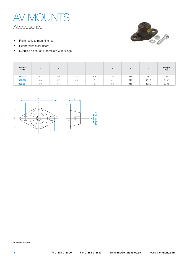



- Fits directly to mounting feet
- Rubber with steel insert
- Supplied as set of 4, complete with fixings

| Product<br>Code | A  | в  | С  | D       | Е  |                | G             | Weight<br>kg |
|-----------------|----|----|----|---------|----|----------------|---------------|--------------|
| 062-002         | 64 | 50 | 43 | 5.5     | 20 | M <sub>6</sub> | Ø7            | 0.040        |
| 062-003         | 80 | 57 | 45 | 5       | 32 | M <sub>8</sub> | $12 \times 9$ | 0.102        |
| 062-004         | 80 | 57 | 45 | -<br>b. | 32 | M <sub>8</sub> | $12 \times 9$ | 0.102        |



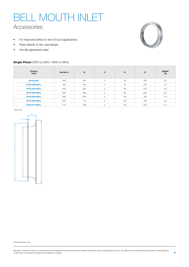# BELL MOUTH INLET

### Accessories

- For improved airflow in end of duct applications
- Fixed directly to fan case flange
- Hot dip galvanised steel

#### **Single Phase** 220V to 240V / 50Hz or 60Hz



| Product<br>Code | Fan Dia, A | B   | C | D   | Е   | Weight<br>kg |
|-----------------|------------|-----|---|-----|-----|--------------|
| 241B-0355*      | 350        | 425 | 3 | 65  | 450 | 3.0          |
| 241B-0400-BELL  | 400        | 485 | 3 | 75  | 515 | 4.5          |
| 241B-0450-BELL  | 450        | 535 | 3 | 85  | 570 | 5.3          |
| 241B-0500-BELL  | 500        | 585 | 3 | 93  | 630 | 6.2          |
| 241B-0560-BELL  | 560        | 645 | 3 | 105 | 700 | 7.5          |
| 241B-0630-BELL  | 630        | 715 | 3 | 105 | 780 | 9.0          |
| 241B-0710-BELL  | 710        | 795 | 3 | 120 | 870 | 11.1         |

\*Inlet cone

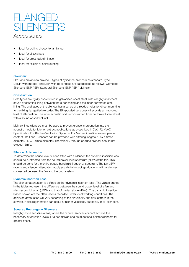

- Ideal for bolting directly to fan flange
- Ideal for all axial fans
- Ideal for cross talk elimination
- Ideal for flexible or spiral ducting

#### **Overview**

Elta Fans are able to provide 2 types of cylindrical silencers as standard; Type DENP (without pod) and DEP (with pod), these are categorised as follows; Compact Silencers (ENP / EP), Standard Silencers (ENP / EP / Melinex).

#### **Construction**

Both types are rigidly constructed in galvanised sheet steel, with a highly absorbent sound attenuating lining between the outer casing and the inner perforated steel lining. The end faces of the silencer has a series of threaded holes for direct mounting to the fixing flange/flexible collar. The EP (podded versions) will provide an improved level of attenuation. The inner acoustic pod is constructed from perforated steel sheet with a sound absorbent infill.

Melinex lined silencers must be used to prevent grease impregnation into the acoustic media for kitchen extract applications as prescribed in DW/172 HVAC Specification For Kitchen Ventilation Systems. For Melinex insertion losses, please contact Elta Fans. Silencers can be provided with differing lengths:  $1D = 1$  times diameter, 2D = 2 times diameter. The Velocity through podded silencer should not exceed 15m/s.

#### **Silencer Attenuation**

To determine the sound level of a fan fitted with a silencer, the dynamic insertion loss should be subtracted from the sound power level spectrum (dBW) of the fan. This should be done for the entire octave band mid-frequency spectrum. The fan dBW ratings and silencer attenuation apply equally to in duct applications, with a silencer connected between the fan and the duct system.

#### **Dynamic Insertion Loss**

The silencer attenuation is defined as the "dynamic insertion loss". The values quoted in the tables represent the difference between the sound power level of a fan and silencer combination (dBW) and that of the fan alone (dBW). The dynamic insertion losses shown are the attenuations recorded under ideal working conditions. The achieved attenuation will vary according to the air velocity and flow pattern in the airways. Noise regeneration can occur at higher velocities, especially in EP silencers.

#### **Square / Rectangular Silencers**

In highly noise sensitive areas, where the circular silencers cannot achieve the necessary attenuation levels, Elta can design and build optional splitter silencers for greater effect.

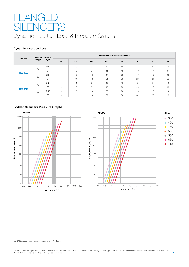## FLANGED SILENCERS Dynamic Insertion Loss & Pressure Graphs

#### **Dynamic Insertion Loss**

| <b>Fan Size</b><br>0350-0560 | Silencer | Silencer    | Insertion Loss @ Octave Band (Hz) |       |       |       |       |       |       |       |  |  |
|------------------------------|----------|-------------|-----------------------------------|-------|-------|-------|-------|-------|-------|-------|--|--|
|                              | Length   | <b>Type</b> | 63                                | 125   | 250   | 500   | 1k    | 2k    | 4k    | 8k    |  |  |
|                              |          | <b>ENP</b>  | $-2$                              | $-5$  | $-6$  | $-9$  | $-13$ | $-11$ | $-6$  | $-6$  |  |  |
|                              | 1D       | <b>FP</b>   | $-4$                              | $-6$  | -8    | $-11$ | $-18$ | $-19$ | $-17$ | $-14$ |  |  |
|                              |          | <b>ENP</b>  | $-4$                              | $-8$  | $-12$ | $-17$ | $-23$ | $-17$ | $-12$ | $-10$ |  |  |
|                              | 2D       | EP          | $-7$                              | $-10$ | $-12$ | $-21$ | $-26$ | $-26$ | $-24$ | $-22$ |  |  |
|                              |          | <b>ENP</b>  | $-3$                              | $-4$  | -9    | $-15$ | $-15$ | $-8$  | $-7$  | $-6$  |  |  |
|                              | 1D       | <b>FP</b>   | $-4$                              | $-6$  | -8    | $-17$ | $-23$ | $-20$ | $-18$ | $-10$ |  |  |
| 0630-0710                    |          | <b>ENP</b>  | $-6$                              | $-8$  | $-13$ | $-22$ | $-22$ | $-13$ | $-12$ | $-9$  |  |  |
|                              | 2D       | EP          | -8                                | $-11$ | $-16$ | $-27$ | $-32$ | $-31$ | $-29$ | $-19$ |  |  |

#### **Podded Silencers Pressure Graphs**





For Ø250 podded pressure losses, please contact Elta Fans.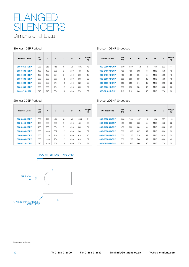## Dimensional Data FLANGED **SILENCERS**

#### Silencer 1DEP Podded

| <b>Product Code</b> | Fan<br><b>Dia</b> | A   | B   | C  | D              | E   | Weight<br>kg |
|---------------------|-------------------|-----|-----|----|----------------|-----|--------------|
| 068-0350-1DEP       | 350               | 350 | 452 | 8  | M <sub>8</sub> | 395 | 13           |
| 068-0400-1DEP       | 400               | 400 | 503 | 8  | M10            | 450 | 16           |
| 068-0450-1DEP       | 450               | 450 | 604 | 8  | M10            | 500 | 18           |
| 068-0500-1DEP       | 500               | 500 | 657 | 12 | M10            | 560 | 22           |
| 068-0560-1DEP       | 560               | 560 | 714 | 12 | M10            | 620 | 26           |
| 068-0630-1DEP       | 630               | 630 | 784 | 12 | M10            | 690 | 31           |
| 068-0710-1DEP       | 710               | 710 | 864 | 16 | M10            | 770 | 39           |

#### Silencer 1DENP Unpodded

Silencer 2DENP Unpodded

| <b>Product Code</b> | Fan<br><b>Dia</b> | A   | в   | C  | D              | E   | Weight<br>kg |
|---------------------|-------------------|-----|-----|----|----------------|-----|--------------|
| 068-0350-1DENP      | 350               | 350 | 452 | 8  | M <sub>8</sub> | 395 | 11           |
| 068-0400-1DENP      | 400               | 400 | 503 | 8  | M10            | 450 | 13           |
| 068-0450-1DENP      | 450               | 450 | 604 | 8  | M10            | 500 | 15           |
| 068-0500-1DENP      | 500               | 500 | 657 | 12 | M10            | 560 | 18           |
| 068-0560-1DENP      | 560               | 560 | 714 | 12 | M10            | 620 | 22           |
| 068-0630-1DENP      | 630               | 630 | 784 | 12 | M10            | 690 | 26           |
| 068-0710-1DENP      | 710               | 710 | 864 | 16 | M10            | 770 | 32           |

#### Silencer 2DEP Podded

| <b>Product Code</b> | Fan<br>Dia | A    | B   | C  | D              | E   | Weight<br>kg |
|---------------------|------------|------|-----|----|----------------|-----|--------------|
| 068-0350-2DEP       | 350        | 700  | 452 | 8  | M <sub>8</sub> | 395 | 21           |
| 068-0400-2DEP       | 400        | 800  | 503 | 8  | M10            | 450 | 26           |
| 068-0450-2DEP       | 450        | 900  | 604 | 8  | M10            | 500 | 31           |
| 068-0500-2DEP       | 500        | 1000 | 657 | 12 | M10            | 560 | 37           |
| 068-0560-2DEP       | 560        | 1120 | 714 | 12 | M10            | 620 | 46           |
| 068-0630-2DEP       | 630        | 1260 | 784 | 12 | M10            | 690 | 57           |
| 068-0710-2DEP       | 710        | 1420 | 864 | 16 | M10            | 770 | 71           |

| <b>Product Code</b> | Fan<br><b>Dia</b> | A    | в   | C               | D              | E   | Weight<br>kg |
|---------------------|-------------------|------|-----|-----------------|----------------|-----|--------------|
| 068-0350-2DENP      | 350               | 700  | 452 | 8               | M <sub>8</sub> | 395 | 18           |
| 068-0400-2DENP      | 400               | 800  | 503 | 8               | M10            | 450 | 22           |
| 068-0450-2DENP      | 450               | 900  | 604 | 8               | M10            | 500 | 27           |
| 068-0500-2DENP      | 500               | 1000 | 657 | 12 <sup>2</sup> | M10            | 560 | 32           |
| 068-0560-2DENP      | 560               | 1120 | 714 | 12              | M10            | 620 | 39           |
| 068-0630-2DENP      | 630               | 1260 | 784 | 12              | M10            | 690 | 48           |
| 068-0710-2DENP      | 710               | 1420 | 864 | 16              | M10            | 770 | 59           |

### POD FITTED TO EP TYPE ONLY

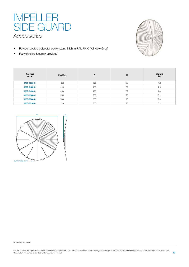### Accessories IMPELLER SIDE GUARD

- Powder coated polyester epoxy paint finish in RAL 7040 (Window Grey)
- Fix with clips & screw provided



| Product<br>Code | Fan Dia. | A   | в  | Weight<br>kg |
|-----------------|----------|-----|----|--------------|
| 078C-0350-C     | 350      | 370 | 23 | 1.4          |
| 078C-0400-C     | 400      | 420 | 26 | 1.6          |
| 078C-0450-C     | 450      | 470 | 29 | 1.8          |
| 078C-0500-C     | 500      | 520 | 32 | 2.2          |
| 078C-0560-C     | 560      | 585 | 32 | 2.5          |
| 078C-0710-C     | 710      | 730 | 50 | 3.2          |

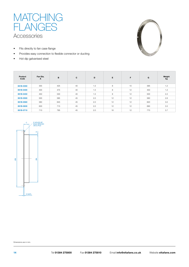

- Fits directly to fan case flange
- Provides easy connection to flexible connector or ducting
- Hot dip galvanised steel



| Product<br>Code | Fan Dia.<br>A | B   | $\mathbf{C}$ | D   | E. | F  | G   | Weight<br>kg |
|-----------------|---------------|-----|--------------|-----|----|----|-----|--------------|
| 061B-0350       | 355           | 425 | 40           | 1.5 | 8  | 10 | 395 | 1.2          |
| 061B-0400       | 400           | 475 | 40           | 1.5 | 8  | 12 | 450 | 1.2          |
| 061B-0450       | 450           | 530 | 40           | 1.5 | 8  | 12 | 500 | 2.2          |
| 061B-0500       | 500           | 585 | 45           | 2.0 | 12 | 12 | 560 | 2.6          |
| 061B-0560       | 560           | 645 | 45           | 2.0 | 12 | 12 | 620 | 3.0          |
| 061B-0630       | 630           | 715 | 45           | 2.0 | 12 | 12 | 690 | 3.5          |
| 061B-0710       | 710           | 795 | 45           | 2.0 | 16 | 12 | 770 | 3.7          |

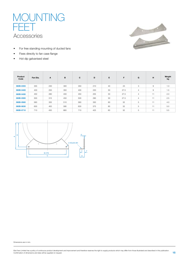### Accessories **MOUNTING** FEET



- For free standing mounting of ducted fans
- Fixes directly to fan case flange
- Hot dip galvanised steel

| Product<br>Code | Fan Dia. | A   | B   | C   | D   | E. | F.   | G              | н              | Weight<br>kg |
|-----------------|----------|-----|-----|-----|-----|----|------|----------------|----------------|--------------|
| 060B-0355       | 355      | 230 | 300 | 350 | 210 | 40 | 23   | 3              | 9              | 1.3          |
| 060B-0400       | 400      | 250 | 350 | 400 | 230 | 50 | 27.5 | $\overline{4}$ | $\overline{9}$ | 1.5          |
| 060B-0450       | 450      | 280 | 400 | 450 | 255 | 50 | 27.5 | $\overline{4}$ | 11             | 2.0          |
| 060B-0500       | 500      | 315 | 450 | 500 | 290 | 50 | 27.5 | $\overline{4}$ | 11             | 2.5          |
| 060B-0560       | 560      | 355 | 510 | 560 | 330 | 60 | 32   | 5              | 11             | 4.0          |
| 060B-0630       | 630      | 400 | 580 | 630 | 375 | 60 | 32   | 5              | 11             | 5.0          |
| 060B-0710       | 710      | 450 | 660 | 710 | 425 | 60 | 32   | 5              | 11             | 5.5          |

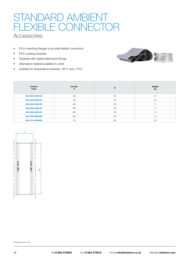## STANDARD AMBIENT FLEXIBLE CONNECTOR

### **Accessories**

- Fit to matching flanges to provide flexible connection
- PVC coating polyester
- Supplied with plated steel band fixings
- Alternative material available to order
- Suitable for temperature between -30°C and +70°C



| Product<br>Code | Fan Dia.<br>A | B   | Weight<br>kg |
|-----------------|---------------|-----|--------------|
| 063-0350-MAN150 | 350           | 150 | 0.7          |
| 063-0400-MAN150 | 400           | 150 | 0.9          |
| 063-0450-MAN150 | 450           | 150 | 1.1          |
| 063-0500-MAN150 | 500           | 150 | 1.2          |
| 063-0560-MAN150 | 560           | 150 | 1.3          |
| 063-0630-MAN200 | 630           | 200 | 1.4          |
| 063-0710-MAN200 | 710           | 200 | 2.0          |



**16** Tel **01384 275800** Fax **01384 275810** Email **info@eltafans.co.uk** Website **eltafans.com**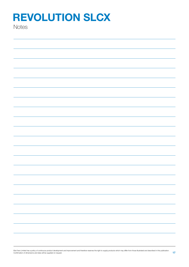**Notes** 

| $\overline{\phantom{0}}$ |
|--------------------------|

Elta Fans Limited has a policy of continuous product development and improvement and therefore reserves the right to supply products which may differ from those illustrated and described in this publication.<br>Confirmation o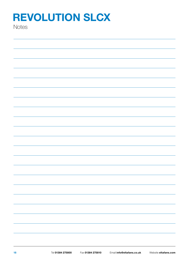**Notes**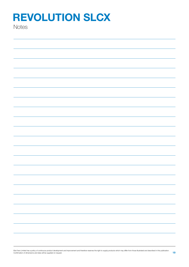**Notes**